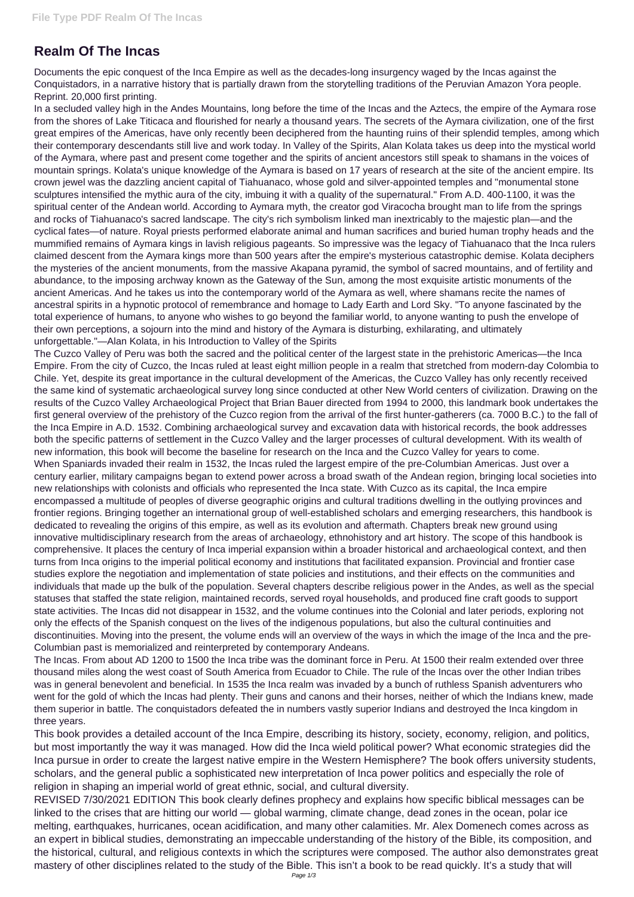## **Realm Of The Incas**

Documents the epic conquest of the Inca Empire as well as the decades-long insurgency waged by the Incas against the Conquistadors, in a narrative history that is partially drawn from the storytelling traditions of the Peruvian Amazon Yora people. Reprint. 20,000 first printing.

In a secluded valley high in the Andes Mountains, long before the time of the Incas and the Aztecs, the empire of the Aymara rose from the shores of Lake Titicaca and flourished for nearly a thousand years. The secrets of the Aymara civilization, one of the first great empires of the Americas, have only recently been deciphered from the haunting ruins of their splendid temples, among which their contemporary descendants still live and work today. In Valley of the Spirits, Alan Kolata takes us deep into the mystical world of the Aymara, where past and present come together and the spirits of ancient ancestors still speak to shamans in the voices of mountain springs. Kolata's unique knowledge of the Aymara is based on 17 years of research at the site of the ancient empire. Its crown jewel was the dazzling ancient capital of Tiahuanaco, whose gold and silver-appointed temples and "monumental stone sculptures intensified the mythic aura of the city, imbuing it with a quality of the supernatural." From A.D. 400-1100, it was the spiritual center of the Andean world. According to Aymara myth, the creator god Viracocha brought man to life from the springs and rocks of Tiahuanaco's sacred landscape. The city's rich symbolism linked man inextricably to the majestic plan—and the cyclical fates—of nature. Royal priests performed elaborate animal and human sacrifices and buried human trophy heads and the mummified remains of Aymara kings in lavish religious pageants. So impressive was the legacy of Tiahuanaco that the Inca rulers claimed descent from the Aymara kings more than 500 years after the empire's mysterious catastrophic demise. Kolata deciphers the mysteries of the ancient monuments, from the massive Akapana pyramid, the symbol of sacred mountains, and of fertility and abundance, to the imposing archway known as the Gateway of the Sun, among the most exquisite artistic monuments of the ancient Americas. And he takes us into the contemporary world of the Aymara as well, where shamans recite the names of ancestral spirits in a hypnotic protocol of remembrance and homage to Lady Earth and Lord Sky. "To anyone fascinated by the total experience of humans, to anyone who wishes to go beyond the familiar world, to anyone wanting to push the envelope of their own perceptions, a sojourn into the mind and history of the Aymara is disturbing, exhilarating, and ultimately unforgettable."—Alan Kolata, in his Introduction to Valley of the Spirits

The Cuzco Valley of Peru was both the sacred and the political center of the largest state in the prehistoric Americas—the Inca Empire. From the city of Cuzco, the Incas ruled at least eight million people in a realm that stretched from modern-day Colombia to Chile. Yet, despite its great importance in the cultural development of the Americas, the Cuzco Valley has only recently received the same kind of systematic archaeological survey long since conducted at other New World centers of civilization. Drawing on the results of the Cuzco Valley Archaeological Project that Brian Bauer directed from 1994 to 2000, this landmark book undertakes the first general overview of the prehistory of the Cuzco region from the arrival of the first hunter-gatherers (ca. 7000 B.C.) to the fall of the Inca Empire in A.D. 1532. Combining archaeological survey and excavation data with historical records, the book addresses both the specific patterns of settlement in the Cuzco Valley and the larger processes of cultural development. With its wealth of new information, this book will become the baseline for research on the Inca and the Cuzco Valley for years to come. When Spaniards invaded their realm in 1532, the Incas ruled the largest empire of the pre-Columbian Americas. Just over a century earlier, military campaigns began to extend power across a broad swath of the Andean region, bringing local societies into new relationships with colonists and officials who represented the Inca state. With Cuzco as its capital, the Inca empire encompassed a multitude of peoples of diverse geographic origins and cultural traditions dwelling in the outlying provinces and frontier regions. Bringing together an international group of well-established scholars and emerging researchers, this handbook is dedicated to revealing the origins of this empire, as well as its evolution and aftermath. Chapters break new ground using innovative multidisciplinary research from the areas of archaeology, ethnohistory and art history. The scope of this handbook is comprehensive. It places the century of Inca imperial expansion within a broader historical and archaeological context, and then turns from Inca origins to the imperial political economy and institutions that facilitated expansion. Provincial and frontier case studies explore the negotiation and implementation of state policies and institutions, and their effects on the communities and individuals that made up the bulk of the population. Several chapters describe religious power in the Andes, as well as the special statuses that staffed the state religion, maintained records, served royal households, and produced fine craft goods to support state activities. The Incas did not disappear in 1532, and the volume continues into the Colonial and later periods, exploring not only the effects of the Spanish conquest on the lives of the indigenous populations, but also the cultural continuities and discontinuities. Moving into the present, the volume ends will an overview of the ways in which the image of the Inca and the pre-Columbian past is memorialized and reinterpreted by contemporary Andeans.

The Incas. From about AD 1200 to 1500 the Inca tribe was the dominant force in Peru. At 1500 their realm extended over three thousand miles along the west coast of South America from Ecuador to Chile. The rule of the Incas over the other Indian tribes

was in general benevolent and beneficial. In 1535 the Inca realm was invaded by a bunch of ruthless Spanish adventurers who went for the gold of which the Incas had plenty. Their guns and canons and their horses, neither of which the Indians knew, made them superior in battle. The conquistadors defeated the in numbers vastly superior Indians and destroyed the Inca kingdom in three years.

This book provides a detailed account of the Inca Empire, describing its history, society, economy, religion, and politics, but most importantly the way it was managed. How did the Inca wield political power? What economic strategies did the Inca pursue in order to create the largest native empire in the Western Hemisphere? The book offers university students, scholars, and the general public a sophisticated new interpretation of Inca power politics and especially the role of religion in shaping an imperial world of great ethnic, social, and cultural diversity.

REVISED 7/30/2021 EDITION This book clearly defines prophecy and explains how specific biblical messages can be linked to the crises that are hitting our world — global warming, climate change, dead zones in the ocean, polar ice melting, earthquakes, hurricanes, ocean acidification, and many other calamities. Mr. Alex Domenech comes across as an expert in biblical studies, demonstrating an impeccable understanding of the history of the Bible, its composition, and the historical, cultural, and religious contexts in which the scriptures were composed. The author also demonstrates great mastery of other disciplines related to the study of the Bible. This isn't a book to be read quickly. It's a study that will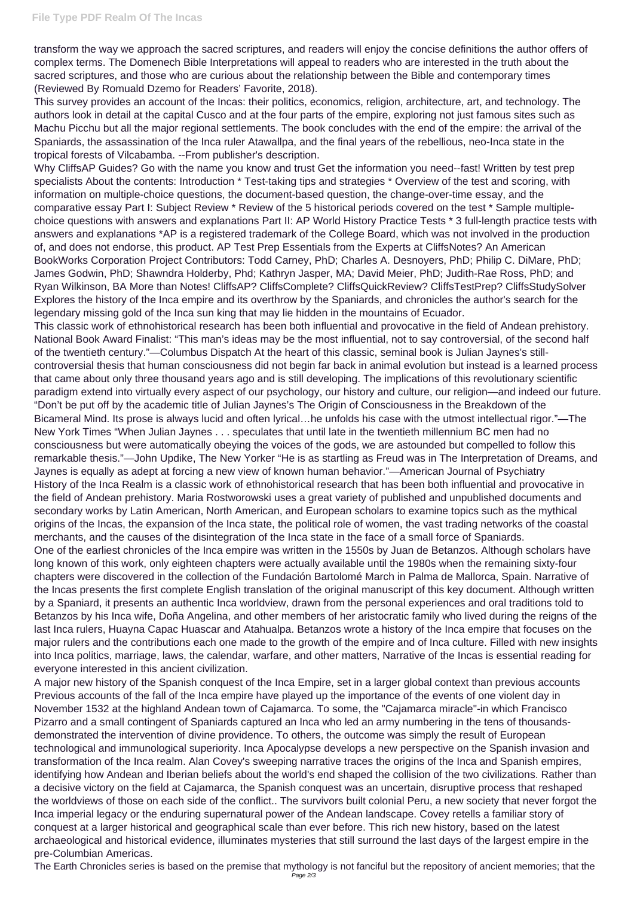transform the way we approach the sacred scriptures, and readers will enjoy the concise definitions the author offers of complex terms. The Domenech Bible Interpretations will appeal to readers who are interested in the truth about the sacred scriptures, and those who are curious about the relationship between the Bible and contemporary times (Reviewed By Romuald Dzemo for Readers' Favorite, 2018).

This survey provides an account of the Incas: their politics, economics, religion, architecture, art, and technology. The authors look in detail at the capital Cusco and at the four parts of the empire, exploring not just famous sites such as Machu Picchu but all the major regional settlements. The book concludes with the end of the empire: the arrival of the Spaniards, the assassination of the Inca ruler Atawallpa, and the final years of the rebellious, neo-Inca state in the tropical forests of Vilcabamba. --From publisher's description.

Why CliffsAP Guides? Go with the name you know and trust Get the information you need--fast! Written by test prep specialists About the contents: Introduction \* Test-taking tips and strategies \* Overview of the test and scoring, with information on multiple-choice questions, the document-based question, the change-over-time essay, and the comparative essay Part I: Subject Review \* Review of the 5 historical periods covered on the test \* Sample multiplechoice questions with answers and explanations Part II: AP World History Practice Tests \* 3 full-length practice tests with answers and explanations \*AP is a registered trademark of the College Board, which was not involved in the production of, and does not endorse, this product. AP Test Prep Essentials from the Experts at CliffsNotes? An American BookWorks Corporation Project Contributors: Todd Carney, PhD; Charles A. Desnoyers, PhD; Philip C. DiMare, PhD; James Godwin, PhD; Shawndra Holderby, Phd; Kathryn Jasper, MA; David Meier, PhD; Judith-Rae Ross, PhD; and Ryan Wilkinson, BA More than Notes! CliffsAP? CliffsComplete? CliffsQuickReview? CliffsTestPrep? CliffsStudySolver Explores the history of the Inca empire and its overthrow by the Spaniards, and chronicles the author's search for the legendary missing gold of the Inca sun king that may lie hidden in the mountains of Ecuador.

This classic work of ethnohistorical research has been both influential and provocative in the field of Andean prehistory. National Book Award Finalist: "This man's ideas may be the most influential, not to say controversial, of the second half of the twentieth century."—Columbus Dispatch At the heart of this classic, seminal book is Julian Jaynes's stillcontroversial thesis that human consciousness did not begin far back in animal evolution but instead is a learned process that came about only three thousand years ago and is still developing. The implications of this revolutionary scientific paradigm extend into virtually every aspect of our psychology, our history and culture, our religion—and indeed our future. "Don't be put off by the academic title of Julian Jaynes's The Origin of Consciousness in the Breakdown of the Bicameral Mind. Its prose is always lucid and often lyrical…he unfolds his case with the utmost intellectual rigor."—The New York Times "When Julian Jaynes . . . speculates that until late in the twentieth millennium BC men had no consciousness but were automatically obeying the voices of the gods, we are astounded but compelled to follow this remarkable thesis."—John Updike, The New Yorker "He is as startling as Freud was in The Interpretation of Dreams, and Jaynes is equally as adept at forcing a new view of known human behavior."—American Journal of Psychiatry History of the Inca Realm is a classic work of ethnohistorical research that has been both influential and provocative in the field of Andean prehistory. Maria Rostworowski uses a great variety of published and unpublished documents and secondary works by Latin American, North American, and European scholars to examine topics such as the mythical origins of the Incas, the expansion of the Inca state, the political role of women, the vast trading networks of the coastal merchants, and the causes of the disintegration of the Inca state in the face of a small force of Spaniards. One of the earliest chronicles of the Inca empire was written in the 1550s by Juan de Betanzos. Although scholars have long known of this work, only eighteen chapters were actually available until the 1980s when the remaining sixty-four chapters were discovered in the collection of the Fundación Bartolomé March in Palma de Mallorca, Spain. Narrative of the Incas presents the first complete English translation of the original manuscript of this key document. Although written by a Spaniard, it presents an authentic Inca worldview, drawn from the personal experiences and oral traditions told to Betanzos by his Inca wife, Doña Angelina, and other members of her aristocratic family who lived during the reigns of the last Inca rulers, Huayna Capac Huascar and Atahualpa. Betanzos wrote a history of the Inca empire that focuses on the major rulers and the contributions each one made to the growth of the empire and of Inca culture. Filled with new insights into Inca politics, marriage, laws, the calendar, warfare, and other matters, Narrative of the Incas is essential reading for everyone interested in this ancient civilization. A major new history of the Spanish conquest of the Inca Empire, set in a larger global context than previous accounts Previous accounts of the fall of the Inca empire have played up the importance of the events of one violent day in November 1532 at the highland Andean town of Cajamarca. To some, the "Cajamarca miracle"-in which Francisco Pizarro and a small contingent of Spaniards captured an Inca who led an army numbering in the tens of thousandsdemonstrated the intervention of divine providence. To others, the outcome was simply the result of European technological and immunological superiority. Inca Apocalypse develops a new perspective on the Spanish invasion and transformation of the Inca realm. Alan Covey's sweeping narrative traces the origins of the Inca and Spanish empires, identifying how Andean and Iberian beliefs about the world's end shaped the collision of the two civilizations. Rather than a decisive victory on the field at Cajamarca, the Spanish conquest was an uncertain, disruptive process that reshaped the worldviews of those on each side of the conflict.. The survivors built colonial Peru, a new society that never forgot the Inca imperial legacy or the enduring supernatural power of the Andean landscape. Covey retells a familiar story of conquest at a larger historical and geographical scale than ever before. This rich new history, based on the latest archaeological and historical evidence, illuminates mysteries that still surround the last days of the largest empire in the pre-Columbian Americas. The Earth Chronicles series is based on the premise that mythology is not fanciful but the repository of ancient memories; that the Page 2/3